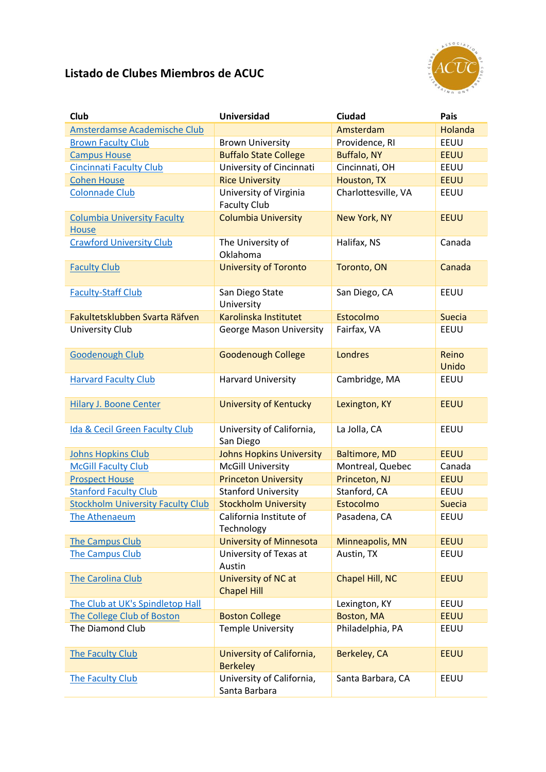## **Listado de Clubes Miembros de ACUC**



| <b>Club</b>                                        | <b>Universidad</b>                            | Ciudad               | Pais           |
|----------------------------------------------------|-----------------------------------------------|----------------------|----------------|
| Amsterdamse Academische Club                       |                                               | Amsterdam            | Holanda        |
| <b>Brown Faculty Club</b>                          | <b>Brown University</b>                       | Providence, RI       | EEUU           |
| <b>Campus House</b>                                | <b>Buffalo State College</b>                  | <b>Buffalo, NY</b>   | <b>EEUU</b>    |
| <b>Cincinnati Faculty Club</b>                     | University of Cincinnati                      | Cincinnati, OH       | EEUU           |
| <b>Cohen House</b>                                 | <b>Rice University</b>                        | Houston, TX          | <b>EEUU</b>    |
| <b>Colonnade Club</b>                              | University of Virginia<br><b>Faculty Club</b> | Charlottesville, VA  | EEUU           |
| <b>Columbia University Faculty</b><br><b>House</b> | <b>Columbia University</b>                    | <b>New York, NY</b>  | <b>EEUU</b>    |
| <b>Crawford University Club</b>                    | The University of<br>Oklahoma                 | Halifax, NS          | Canada         |
| <b>Faculty Club</b>                                | <b>University of Toronto</b>                  | Toronto, ON          | Canada         |
| <b>Faculty-Staff Club</b>                          | San Diego State<br>University                 | San Diego, CA        | EEUU           |
| Fakultetsklubben Svarta Räfven                     | Karolinska Institutet                         | Estocolmo            | <b>Suecia</b>  |
| <b>University Club</b>                             | <b>George Mason University</b>                | Fairfax, VA          | EEUU           |
| <b>Goodenough Club</b>                             | <b>Goodenough College</b>                     | Londres              | Reino<br>Unido |
| <b>Harvard Faculty Club</b>                        | <b>Harvard University</b>                     | Cambridge, MA        | EEUU           |
| <b>Hilary J. Boone Center</b>                      | <b>University of Kentucky</b>                 | Lexington, KY        | <b>EEUU</b>    |
| Ida & Cecil Green Faculty Club                     | University of California,<br>San Diego        | La Jolla, CA         | EEUU           |
| <b>Johns Hopkins Club</b>                          | <b>Johns Hopkins University</b>               | <b>Baltimore, MD</b> | <b>EEUU</b>    |
| <b>McGill Faculty Club</b>                         | <b>McGill University</b>                      | Montreal, Quebec     | Canada         |
| <b>Prospect House</b>                              | <b>Princeton University</b>                   | Princeton, NJ        | <b>EEUU</b>    |
| <b>Stanford Faculty Club</b>                       | <b>Stanford University</b>                    | Stanford, CA         | EEUU           |
| <b>Stockholm University Faculty Club</b>           | <b>Stockholm University</b>                   | Estocolmo            | <b>Suecia</b>  |
| The Athenaeum                                      | California Institute of<br>Technology         | Pasadena, CA         | EEUU           |
| The Campus Club                                    | <b>University of Minnesota</b>                | Minneapolis, MN      | <b>EEUU</b>    |
| The Campus Club                                    | University of Texas at<br>Austin              | Austin, TX           | EEUU           |
| The Carolina Club                                  | University of NC at<br><b>Chapel Hill</b>     | Chapel Hill, NC      | <b>EEUU</b>    |
| The Club at UK's Spindletop Hall                   |                                               | Lexington, KY        | EEUU           |
| The College Club of Boston                         | <b>Boston College</b>                         | Boston, MA           | <b>EEUU</b>    |
| The Diamond Club                                   | <b>Temple University</b>                      | Philadelphia, PA     | EEUU           |
| The Faculty Club                                   | University of California,<br><b>Berkeley</b>  | Berkeley, CA         | <b>EEUU</b>    |
| The Faculty Club                                   | University of California,<br>Santa Barbara    | Santa Barbara, CA    | EEUU           |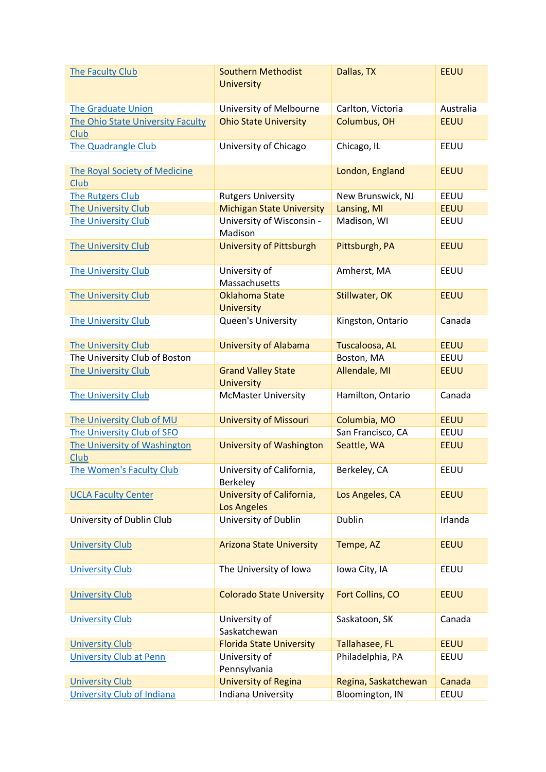| The Faculty Club                             | <b>Southern Methodist</b><br><b>University</b>  | Dallas, TX           | <b>EEUU</b> |
|----------------------------------------------|-------------------------------------------------|----------------------|-------------|
| <b>The Graduate Union</b>                    | University of Melbourne                         | Carlton, Victoria    | Australia   |
| The Ohio State University Faculty<br>Club    | <b>Ohio State University</b>                    | Columbus, OH         | <b>EEUU</b> |
| <b>The Quadrangle Club</b>                   | University of Chicago                           | Chicago, IL          | EEUU        |
| <b>The Royal Society of Medicine</b><br>Club |                                                 | London, England      | <b>EEUU</b> |
| The Rutgers Club                             | <b>Rutgers University</b>                       | New Brunswick, NJ    | EEUU        |
| The University Club                          | <b>Michigan State University</b>                | Lansing, MI          | <b>EEUU</b> |
| The University Club                          | University of Wisconsin -<br>Madison            | Madison, WI          | EEUU        |
| <b>The University Club</b>                   | <b>University of Pittsburgh</b>                 | Pittsburgh, PA       | <b>EEUU</b> |
| The University Club                          | University of<br>Massachusetts                  | Amherst, MA          | EEUU        |
| The University Club                          | <b>Oklahoma State</b><br><b>University</b>      | Stillwater, OK       | <b>EEUU</b> |
| The University Club                          | Queen's University                              | Kingston, Ontario    | Canada      |
| The University Club                          | <b>University of Alabama</b>                    | Tuscaloosa, AL       | <b>EEUU</b> |
| The University Club of Boston                |                                                 | Boston, MA           | EEUU        |
| The University Club                          | <b>Grand Valley State</b><br><b>University</b>  | Allendale, MI        | <b>EEUU</b> |
| The University Club                          | <b>McMaster University</b>                      | Hamilton, Ontario    | Canada      |
| The University Club of MU                    | <b>University of Missouri</b>                   | Columbia, MO         | <b>EEUU</b> |
| The University Club of SFO                   |                                                 | San Francisco, CA    | EEUU        |
| The University of Washington<br>Club         | <b>University of Washington</b>                 | Seattle, WA          | <b>EEUU</b> |
| The Women's Faculty Club                     | University of California,<br>Berkeley           | Berkeley, CA         | EEUU        |
| <b>UCLA Faculty Center</b>                   | University of California,<br><b>Los Angeles</b> | Los Angeles, CA      | <b>EEUU</b> |
| University of Dublin Club                    | University of Dublin                            | <b>Dublin</b>        | Irlanda     |
| <b>University Club</b>                       | <b>Arizona State University</b>                 | Tempe, AZ            | <b>EEUU</b> |
| <b>University Club</b>                       | The University of Iowa                          | Iowa City, IA        | EEUU        |
| <b>University Club</b>                       | <b>Colorado State University</b>                | Fort Collins, CO     | <b>EEUU</b> |
| <b>University Club</b>                       | University of<br>Saskatchewan                   | Saskatoon, SK        | Canada      |
| <b>University Club</b>                       | <b>Florida State University</b>                 | Tallahasee, FL       | <b>EEUU</b> |
| <b>University Club at Penn</b>               | University of<br>Pennsylvania                   | Philadelphia, PA     | EEUU        |
| <b>University Club</b>                       | <b>University of Regina</b>                     | Regina, Saskatchewan | Canada      |
| <b>University Club of Indiana</b>            | Indiana University                              | Bloomington, IN      | EEUU        |